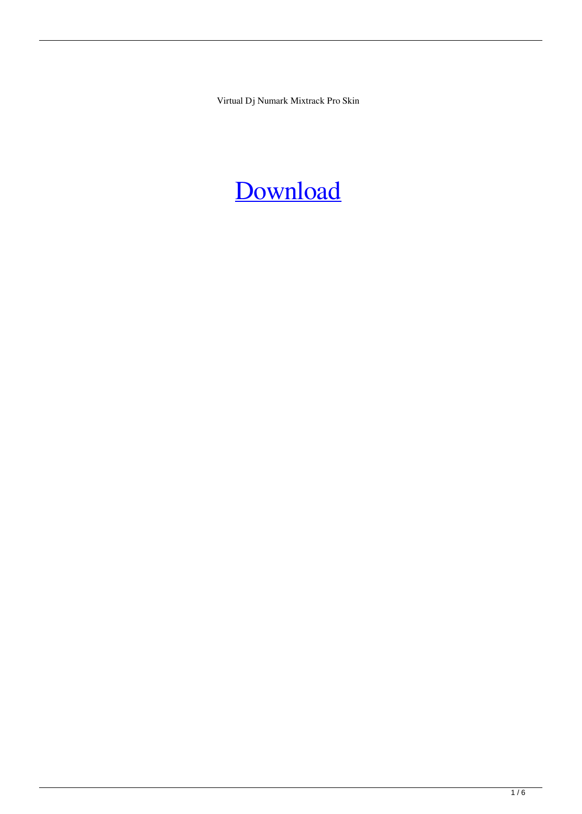Virtual Dj Numark Mixtrack Pro Skin

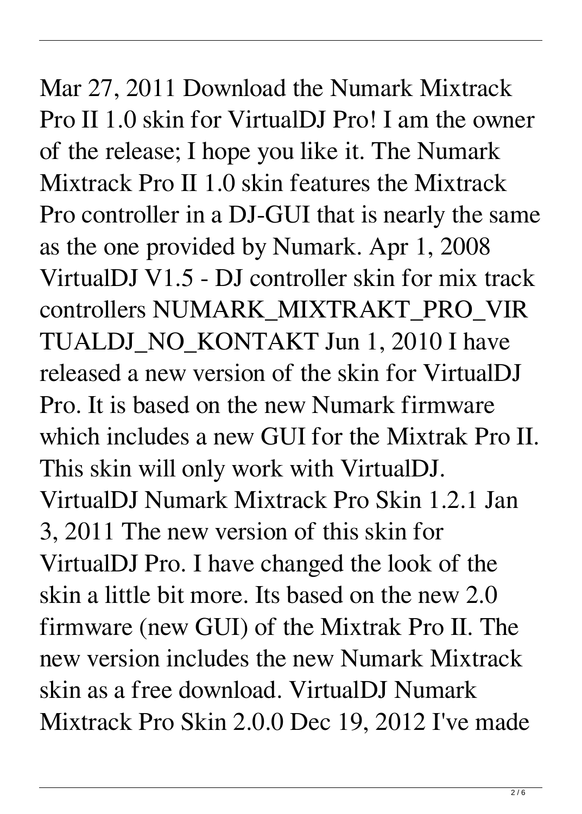Mar 27, 2011 Download the Numark Mixtrack Pro II 1.0 skin for VirtualDJ Pro! I am the owner of the release; I hope you like it. The Numark Mixtrack Pro II 1.0 skin features the Mixtrack Pro controller in a DJ-GUI that is nearly the same as the one provided by Numark. Apr 1, 2008 VirtualDJ V1.5 - DJ controller skin for mix track controllers NUMARK\_MIXTRAKT\_PRO\_VIR TUALDJ NO KONTAKT Jun 1, 2010 I have released a new version of the skin for VirtualDJ Pro. It is based on the new Numark firmware which includes a new GUI for the Mixtrak Pro II. This skin will only work with VirtualDJ. VirtualDJ Numark Mixtrack Pro Skin 1.2.1 Jan 3, 2011 The new version of this skin for VirtualDJ Pro. I have changed the look of the skin a little bit more. Its based on the new 2.0 firmware (new GUI) of the Mixtrak Pro II. The new version includes the new Numark Mixtrack skin as a free download. VirtualDJ Numark Mixtrack Pro Skin 2.0.0 Dec 19, 2012 I've made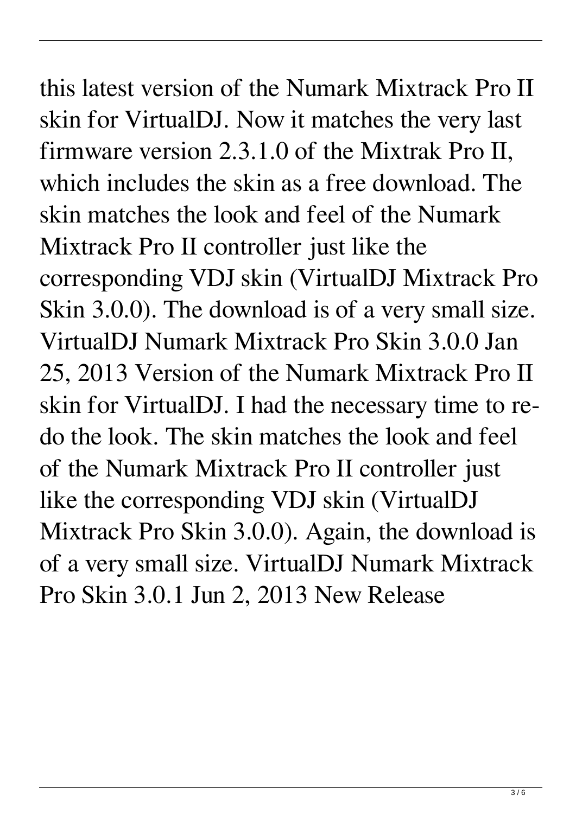this latest version of the Numark Mixtrack Pro II skin for VirtualDJ. Now it matches the very last firmware version 2.3.1.0 of the Mixtrak Pro II, which includes the skin as a free download. The skin matches the look and feel of the Numark Mixtrack Pro II controller just like the corresponding VDJ skin (VirtualDJ Mixtrack Pro Skin 3.0.0). The download is of a very small size. VirtualDJ Numark Mixtrack Pro Skin 3.0.0 Jan 25, 2013 Version of the Numark Mixtrack Pro II skin for VirtualDJ. I had the necessary time to redo the look. The skin matches the look and feel of the Numark Mixtrack Pro II controller just like the corresponding VDJ skin (VirtualDJ Mixtrack Pro Skin 3.0.0). Again, the download is of a very small size. VirtualDJ Numark Mixtrack Pro Skin 3.0.1 Jun 2, 2013 New Release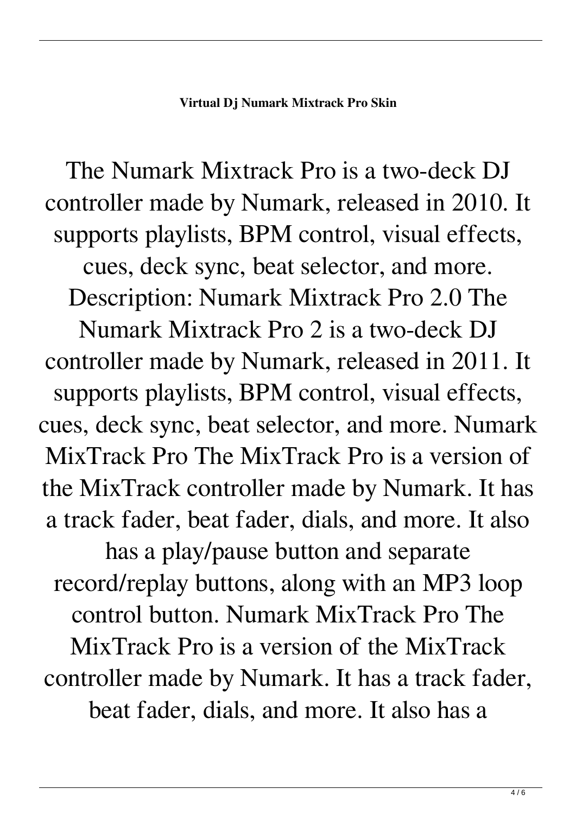## **Virtual Dj Numark Mixtrack Pro Skin**

The Numark Mixtrack Pro is a two-deck DJ controller made by Numark, released in 2010. It supports playlists, BPM control, visual effects, cues, deck sync, beat selector, and more. Description: Numark Mixtrack Pro 2.0 The Numark Mixtrack Pro 2 is a two-deck DJ controller made by Numark, released in 2011. It supports playlists, BPM control, visual effects, cues, deck sync, beat selector, and more. Numark MixTrack Pro The MixTrack Pro is a version of the MixTrack controller made by Numark. It has a track fader, beat fader, dials, and more. It also has a play/pause button and separate record/replay buttons, along with an MP3 loop control button. Numark MixTrack Pro The

MixTrack Pro is a version of the MixTrack controller made by Numark. It has a track fader, beat fader, dials, and more. It also has a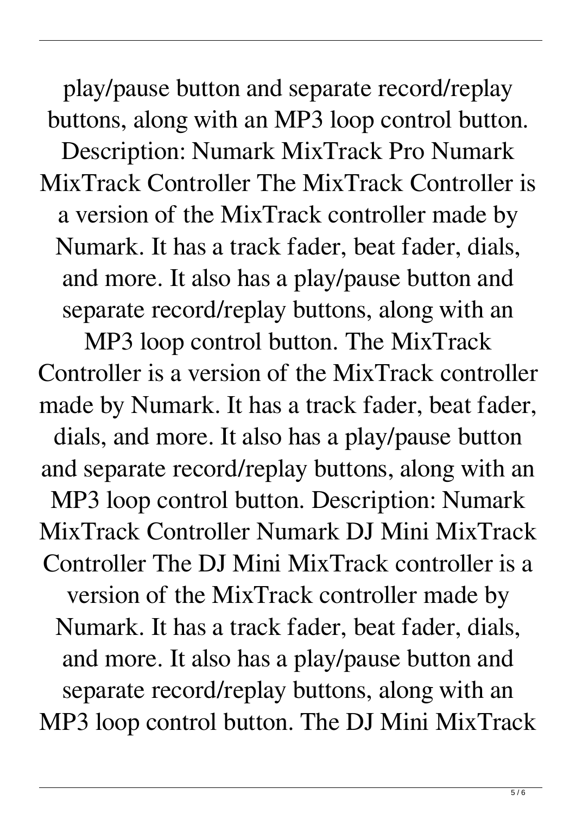play/pause button and separate record/replay buttons, along with an MP3 loop control button. Description: Numark MixTrack Pro Numark MixTrack Controller The MixTrack Controller is a version of the MixTrack controller made by Numark. It has a track fader, beat fader, dials, and more. It also has a play/pause button and separate record/replay buttons, along with an MP3 loop control button. The MixTrack

Controller is a version of the MixTrack controller made by Numark. It has a track fader, beat fader, dials, and more. It also has a play/pause button and separate record/replay buttons, along with an MP3 loop control button. Description: Numark MixTrack Controller Numark DJ Mini MixTrack Controller The DJ Mini MixTrack controller is a version of the MixTrack controller made by Numark. It has a track fader, beat fader, dials, and more. It also has a play/pause button and separate record/replay buttons, along with an MP3 loop control button. The DJ Mini MixTrack